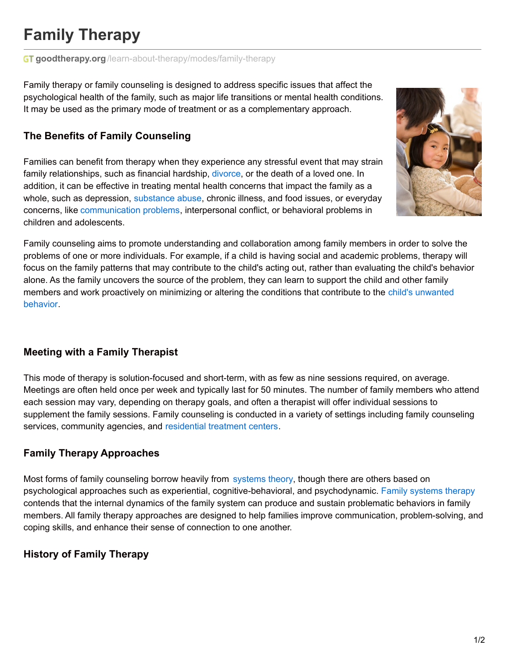# **Family Therapy**

#### **GT goodtherapy.org**[/learn-about-therapy/modes/family-therapy](https://www.goodtherapy.org/learn-about-therapy/modes/family-therapy)

Family therapy or family counseling is designed to address specific issues that affect the psychological health of the family, such as major life transitions or mental health conditions. It may be used as the primary mode of treatment or as a complementary approach.

## **The Benefits of Family Counseling**

Families can benefit from therapy when they experience any stressful event that may strain family relationships, such as financial hardship, [divorce](https://www.goodtherapy.org/learn-about-therapy/issues/divorce), or the death of a loved one. In addition, it can be effective in treating mental health concerns that impact the family as a whole, such as depression, [substance](https://www.goodtherapy.org/learn-about-therapy/issues/drug-and-substance-abuse) abuse, chronic illness, and food issues, or everyday concerns, like [communication](https://www.goodtherapy.org/learn-about-therapy/issues/communication-issues) problems, interpersonal conflict, or behavioral problems in children and adolescents.



Family counseling aims to promote understanding and collaboration among family members in order to solve the problems of one or more individuals. For example, if a child is having social and academic problems, therapy will focus on the family patterns that may contribute to the child's acting out, rather than evaluating the child's behavior alone. As the family uncovers the source of the problem, they can learn to support the child and other family members and work [proactively](https://www.goodtherapy.org/learn-about-therapy/issues/child-and-adolescent-issues) on minimizing or altering the conditions that contribute to the child's unwanted behavior.

### **Meeting with a Family Therapist**

This mode of therapy is solution-focused and short-term, with as few as nine sessions required, on average. Meetings are often held once per week and typically last for 50 minutes. The number of family members who attend each session may vary, depending on therapy goals, and often a therapist will offer individual sessions to supplement the family sessions. Family counseling is conducted in a variety of settings including family counseling services, community agencies, and [residential](https://www.goodtherapy.org/treatment-centers) treatment centers.

### **Family Therapy Approaches**

Most forms of family counseling borrow heavily from [systems](https://www.goodtherapy.org/learn-about-therapy/types/systems-theory-therapy) theory, though there are others based on psychological approaches such as experiential, cognitive-behavioral, and psychodynamic. Family [systems](https://www.goodtherapy.org/learn-about-therapy/types/family-systems-therapy) therapy contends that the internal dynamics of the family system can produce and sustain problematic behaviors in family members. All family therapy approaches are designed to help families improve communication, problem-solving, and coping skills, and enhance their sense of connection to one another.

### **History of Family Therapy**